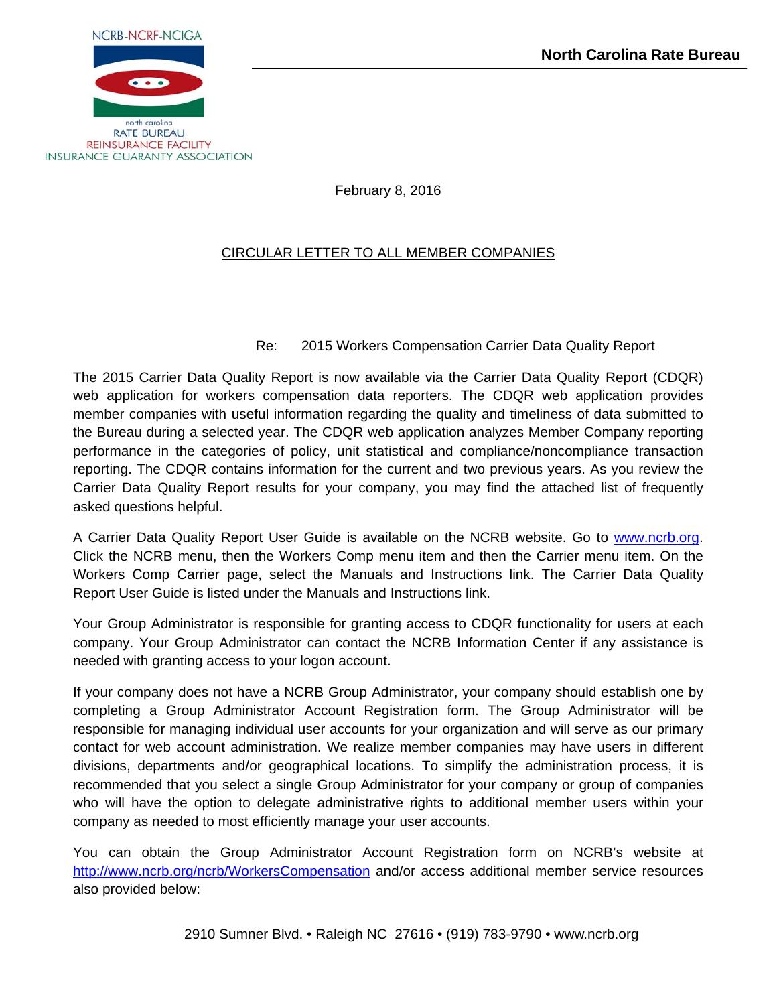

February 8, 2016

# CIRCULAR LETTER TO ALL MEMBER COMPANIES

# Re: 2015 Workers Compensation Carrier Data Quality Report

The 2015 Carrier Data Quality Report is now available via the Carrier Data Quality Report (CDQR) web application for workers compensation data reporters. The CDQR web application provides member companies with useful information regarding the quality and timeliness of data submitted to the Bureau during a selected year. The CDQR web application analyzes Member Company reporting performance in the categories of policy, unit statistical and compliance/noncompliance transaction reporting. The CDQR contains information for the current and two previous years. As you review the Carrier Data Quality Report results for your company, you may find the attached list of frequently asked questions helpful.

A Carrier Data Quality Report User Guide is available on the NCRB website. Go to www.ncrb.org. Click the NCRB menu, then the Workers Comp menu item and then the Carrier menu item. On the Workers Comp Carrier page, select the Manuals and Instructions link. The Carrier Data Quality Report User Guide is listed under the Manuals and Instructions link.

Your Group Administrator is responsible for granting access to CDQR functionality for users at each company. Your Group Administrator can contact the NCRB Information Center if any assistance is needed with granting access to your logon account.

If your company does not have a NCRB Group Administrator, your company should establish one by completing a Group Administrator Account Registration form. The Group Administrator will be responsible for managing individual user accounts for your organization and will serve as our primary contact for web account administration. We realize member companies may have users in different divisions, departments and/or geographical locations. To simplify the administration process, it is recommended that you select a single Group Administrator for your company or group of companies who will have the option to delegate administrative rights to additional member users within your company as needed to most efficiently manage your user accounts.

You can obtain the Group Administrator Account Registration form on NCRB's website at http://www.ncrb.org/ncrb/WorkersCompensation and/or access additional member service resources also provided below: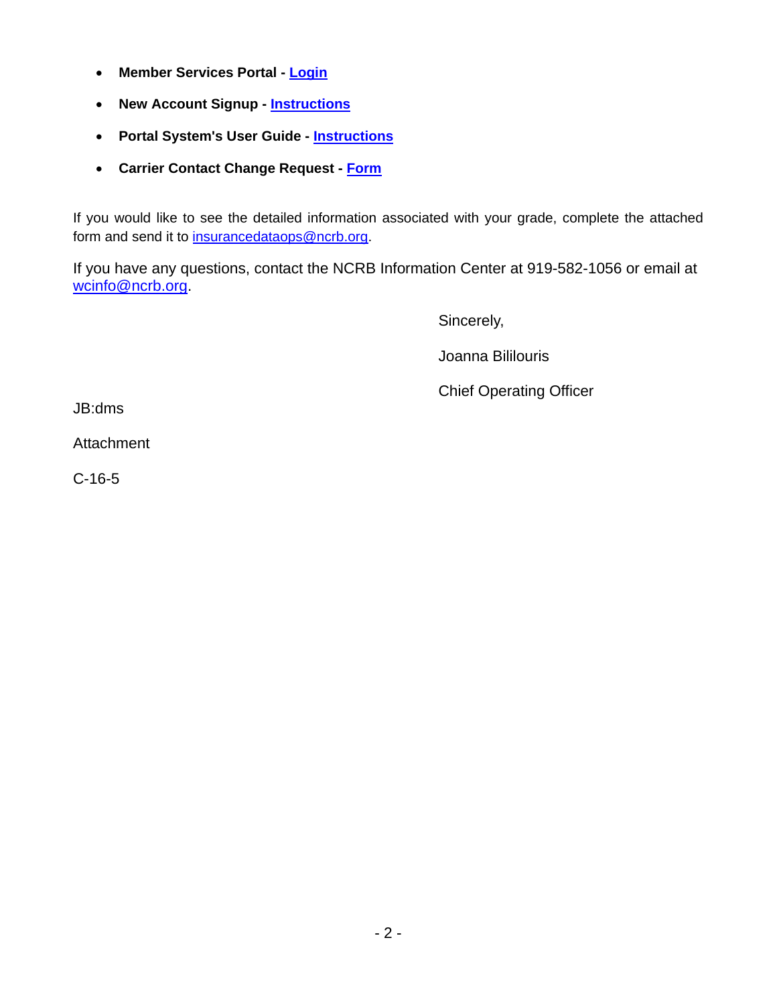- **Member Services Portal  [Login](https://webportal.ncrb.org/NCRBPortal/PortalLogon.aspx)**
- **New Account Signup  [Instructions](https://webportal.ncrb.org/NCRBPortal/NewUserAccount.htm)**
- **Portal System's User Guide - [Instructions](http://www.ncrb.org/Portals/0/Web%20Portal%20User%20Guide%20V1.2.pdf)**
- **Carrier Contact Change Request - [Form](http://www.ncrb.org/Portals/0/ncrb/workers%20comp%20services/forms/North%20Carolina%20Rate%20Bureau%20Change%20Request%20III.pdf)**

If you would like to see the detailed information associated with your grade, complete the attached form and send it to insurancedataops@ncrb.org.

If you have any questions, contact the NCRB Information Center at 919-582-1056 or email at wcinfo@ncrb.org.

Sincerely,

Joanna Bililouris

Chief Operating Officer

JB:dms

Attachment

C-16-5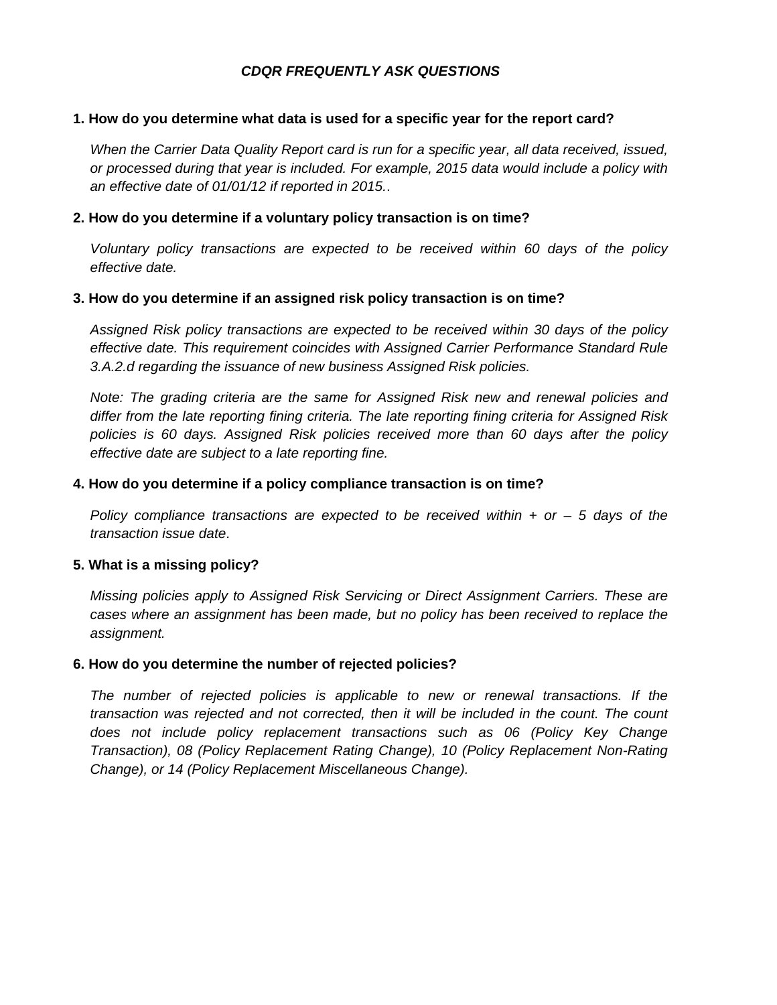## *CDQR FREQUENTLY ASK QUESTIONS*

#### **1. How do you determine what data is used for a specific year for the report card?**

*When the Carrier Data Quality Report card is run for a specific year, all data received, issued, or processed during that year is included. For example, 2015 data would include a policy with an effective date of 01/01/12 if reported in 2015.*.

#### **2. How do you determine if a voluntary policy transaction is on time?**

*Voluntary policy transactions are expected to be received within 60 days of the policy effective date.*

#### **3. How do you determine if an assigned risk policy transaction is on time?**

*Assigned Risk policy transactions are expected to be received within 30 days of the policy effective date. This requirement coincides with Assigned Carrier Performance Standard Rule 3.A.2.d regarding the issuance of new business Assigned Risk policies.*

*Note: The grading criteria are the same for Assigned Risk new and renewal policies and differ from the late reporting fining criteria. The late reporting fining criteria for Assigned Risk policies is 60 days. Assigned Risk policies received more than 60 days after the policy effective date are subject to a late reporting fine.* 

#### **4. How do you determine if a policy compliance transaction is on time?**

*Policy compliance transactions are expected to be received within + or – 5 days of the transaction issue date*.

## **5. What is a missing policy?**

*Missing policies apply to Assigned Risk Servicing or Direct Assignment Carriers. These are cases where an assignment has been made, but no policy has been received to replace the assignment.*

## **6. How do you determine the number of rejected policies?**

*The number of rejected policies is applicable to new or renewal transactions. If the transaction was rejected and not corrected, then it will be included in the count. The count does not include policy replacement transactions such as 06 (Policy Key Change Transaction), 08 (Policy Replacement Rating Change), 10 (Policy Replacement Non-Rating Change), or 14 (Policy Replacement Miscellaneous Change).*